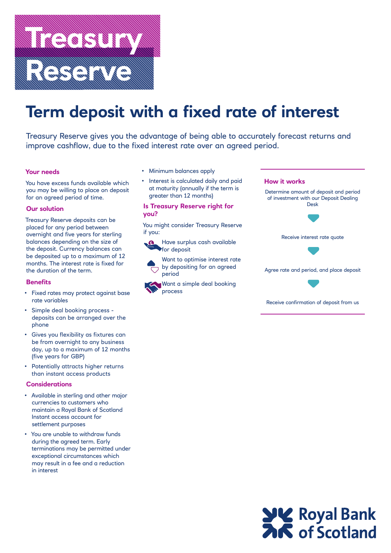

# **Term deposit with a fixed rate of interest**

Treasury Reserve gives you the advantage of being able to accurately forecast returns and improve cashflow, due to the fixed interest rate over an agreed period.

## **Your needs**

You have excess funds available which you may be willing to place on deposit for an agreed period of time.

## **Our solution**

Treasury Reserve deposits can be placed for any period between overnight and five years for sterling balances depending on the size of the deposit. Currency balances can be deposited up to a maximum of 12 months. The interest rate is fixed for the duration of the term.

## **Benefits**

- Fixed rates may protect against base rate variables
- Simple deal booking process deposits can be arranged over the phone
- Gives you flexibility as fixtures can be from overnight to any business day, up to a maximum of 12 months (five years for GBP)
- Potentially attracts higher returns than instant access products

#### **Considerations**

- Available in sterling and other major currencies to customers who maintain a Royal Bank of Scotland Instant access account for settlement purposes
- You are unable to withdraw funds during the agreed term. Early terminations may be permitted under exceptional circumstances which may result in a fee and a reduction in interest
- Minimum balances apply
- Interest is calculated daily and paid at maturity (annually if the term is greater than 12 months)

## **Is Treasury Reserve right for you?**

You might consider Treasury Reserve if you:

Have surplus cash available for deposit

Want to optimise interest rate by depositing for an agreed period

Want a simple deal booking process



Receive confirmation of deposit from us